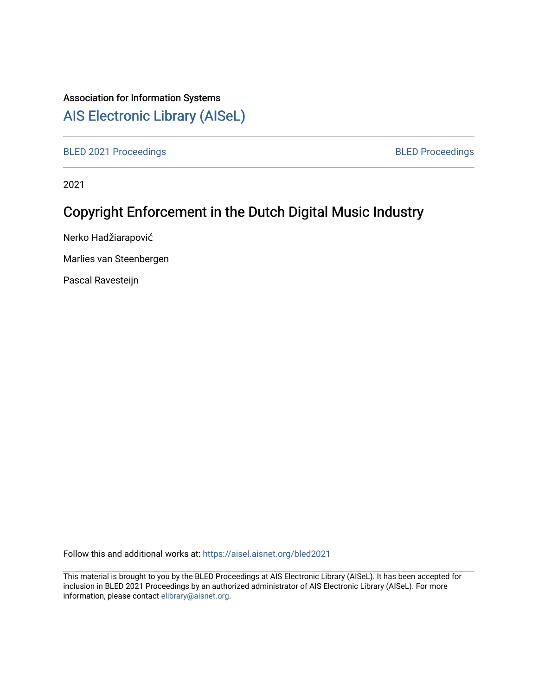# Association for Information Systems

# [AIS Electronic Library \(AISeL\)](https://aisel.aisnet.org/)

[BLED 2021 Proceedings](https://aisel.aisnet.org/bled2021) **BLED Proceedings** 

2021

# Copyright Enforcement in the Dutch Digital Music Industry

Nerko Hadžiarapović

Marlies van Steenbergen

Pascal Ravesteijn

Follow this and additional works at: [https://aisel.aisnet.org/bled2021](https://aisel.aisnet.org/bled2021?utm_source=aisel.aisnet.org%2Fbled2021%2F24&utm_medium=PDF&utm_campaign=PDFCoverPages) 

This material is brought to you by the BLED Proceedings at AIS Electronic Library (AISeL). It has been accepted for inclusion in BLED 2021 Proceedings by an authorized administrator of AIS Electronic Library (AISeL). For more information, please contact [elibrary@aisnet.org.](mailto:elibrary@aisnet.org%3E)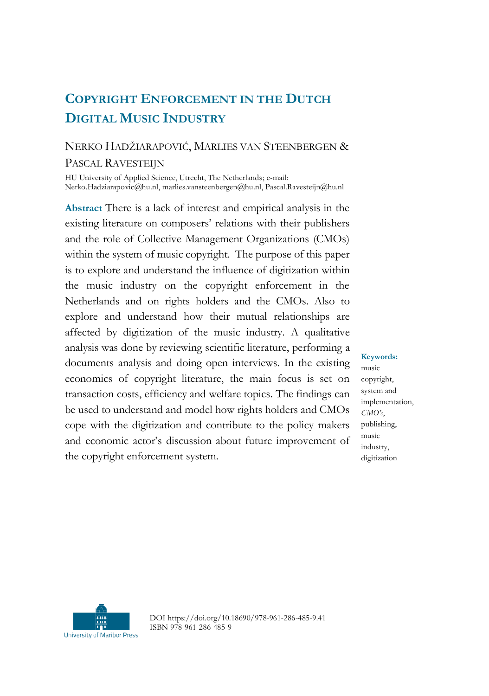# **COPYRIGHT ENFORCEMENT IN THE DUTCH DIGITAL MUSIC INDUSTRY**

## NERKO HADŽIARAPOVIĆ, MARLIES VAN STEENBERGEN & PASCAL RAVESTEIJN

HU University of Applied Science, Utrecht, The Netherlands; e-mail: Nerko.Hadziarapovic@hu.nl, marlies.vansteenbergen@hu.nl, Pascal.Ravesteijn@hu.nl

**Abstract** There is a lack of interest and empirical analysis in the existing literature on composers' relations with their publishers and the role of Collective Management Organizations (CMOs) within the system of music copyright. The purpose of this paper is to explore and understand the influence of digitization within the music industry on the copyright enforcement in the Netherlands and on rights holders and the CMOs. Also to explore and understand how their mutual relationships are affected by digitization of the music industry. A qualitative analysis was done by reviewing scientific literature, performing a documents analysis and doing open interviews. In the existing economics of copyright literature, the main focus is set on transaction costs, efficiency and welfare topics. The findings can be used to understand and model how rights holders and CMOs cope with the digitization and contribute to the policy makers and economic actor's discussion about future improvement of the copyright enforcement system.

#### **Keywords:**

music copyright, system and implementation, *CMO's*, publishing, music industry, digitization



DOI https://doi.org/10.18690/978-961-286-485-9.41 ISBN 978-961-286-485-9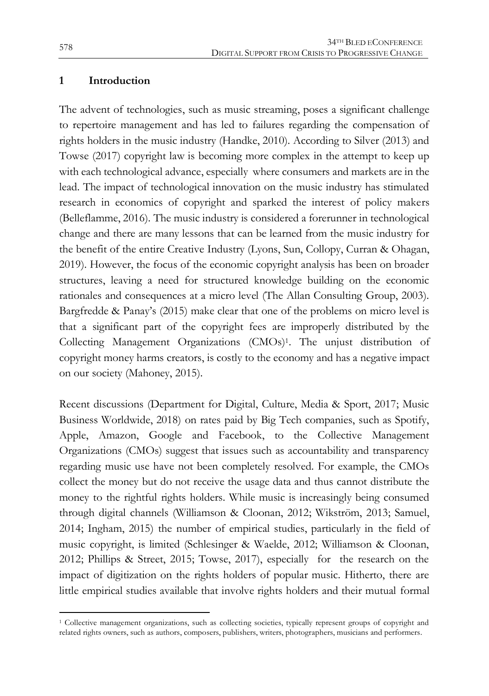#### **1 Introduction**

The advent of technologies, such as music streaming, poses a significant challenge to repertoire management and has led to failures regarding the compensation of rights holders in the music industry (Handke, 2010). According to Silver (2013) and Towse (2017) copyright law is becoming more complex in the attempt to keep up with each technological advance, especially where consumers and markets are in the lead. The impact of technological innovation on the music industry has stimulated research in economics of copyright and sparked the interest of policy makers (Belleflamme, 2016). The music industry is considered a forerunner in technological change and there are many lessons that can be learned from the music industry for the benefit of the entire Creative Industry (Lyons, Sun, Collopy, Curran & Ohagan, 2019). However, the focus of the economic copyright analysis has been on broader structures, leaving a need for structured knowledge building on the economic rationales and consequences at a micro level (The Allan Consulting Group, 2003). Bargfredde & Panay's (2015) make clear that one of the problems on micro level is that a significant part of the copyright fees are improperly distributed by the Collecting Management Organizations (CMOs)1. The unjust distribution of copyright money harms creators, is costly to the economy and has a negative impact on our society (Mahoney, 2015).

Recent discussions (Department for Digital, Culture, Media & Sport, 2017; Music Business Worldwide, 2018) on rates paid by Big Tech companies, such as Spotify, Apple, Amazon, Google and Facebook, to the Collective Management Organizations (CMOs) suggest that issues such as accountability and transparency regarding music use have not been completely resolved. For example, the CMOs collect the money but do not receive the usage data and thus cannot distribute the money to the rightful rights holders. While music is increasingly being consumed through digital channels (Williamson & Cloonan, 2012; Wikström, 2013; Samuel, 2014; Ingham, 2015) the number of empirical studies, particularly in the field of music copyright, is limited (Schlesinger & Waelde, 2012; Williamson & Cloonan, 2012; Phillips & Street, 2015; Towse, 2017), especially for the research on the impact of digitization on the rights holders of popular music. Hitherto, there are little empirical studies available that involve rights holders and their mutual formal

 $\overline{a}$ 

<sup>1</sup> Collective management organizations, such as collecting societies, typically represent groups of copyright and related rights owners, such as authors, composers, publishers, writers, photographers, musicians and performers.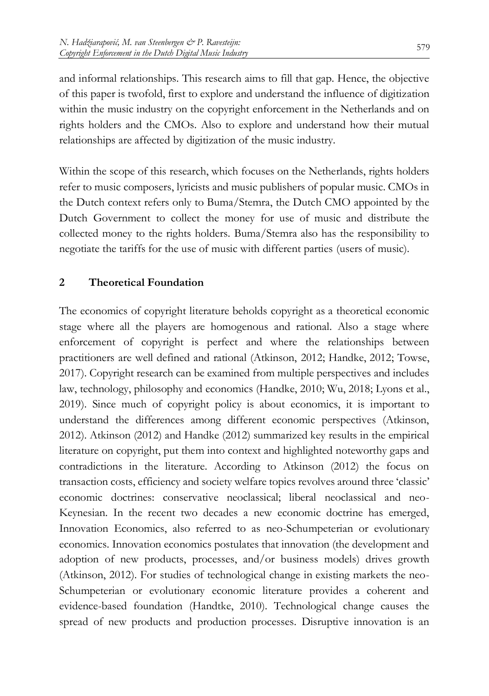and informal relationships. This research aims to fill that gap. Hence, the objective of this paper is twofold, first to explore and understand the influence of digitization within the music industry on the copyright enforcement in the Netherlands and on rights holders and the CMOs. Also to explore and understand how their mutual relationships are affected by digitization of the music industry.

Within the scope of this research, which focuses on the Netherlands, rights holders refer to music composers, lyricists and music publishers of popular music. CMOs in the Dutch context refers only to Buma/Stemra, the Dutch CMO appointed by the Dutch Government to collect the money for use of music and distribute the collected money to the rights holders. Buma/Stemra also has the responsibility to negotiate the tariffs for the use of music with different parties (users of music).

#### **2 Theoretical Foundation**

The economics of copyright literature beholds copyright as a theoretical economic stage where all the players are homogenous and rational. Also a stage where enforcement of copyright is perfect and where the relationships between practitioners are well defined and rational (Atkinson, 2012; Handke, 2012; Towse, 2017). Copyright research can be examined from multiple perspectives and includes law, technology, philosophy and economics (Handke, 2010; Wu, 2018; Lyons et al., 2019). Since much of copyright policy is about economics, it is important to understand the differences among different economic perspectives (Atkinson, 2012). Atkinson (2012) and Handke (2012) summarized key results in the empirical literature on copyright, put them into context and highlighted noteworthy gaps and contradictions in the literature. According to Atkinson (2012) the focus on transaction costs, efficiency and society welfare topics revolves around three 'classic' economic doctrines: conservative neoclassical; liberal neoclassical and neo-Keynesian. In the recent two decades a new economic doctrine has emerged, Innovation Economics, also referred to as neo-Schumpeterian or evolutionary economics. Innovation economics postulates that innovation (the development and adoption of new products, processes, and/or business models) drives growth (Atkinson, 2012). For studies of technological change in existing markets the neo-Schumpeterian or evolutionary economic literature provides a coherent and evidence-based foundation (Handtke, 2010). Technological change causes the spread of new products and production processes. Disruptive innovation is an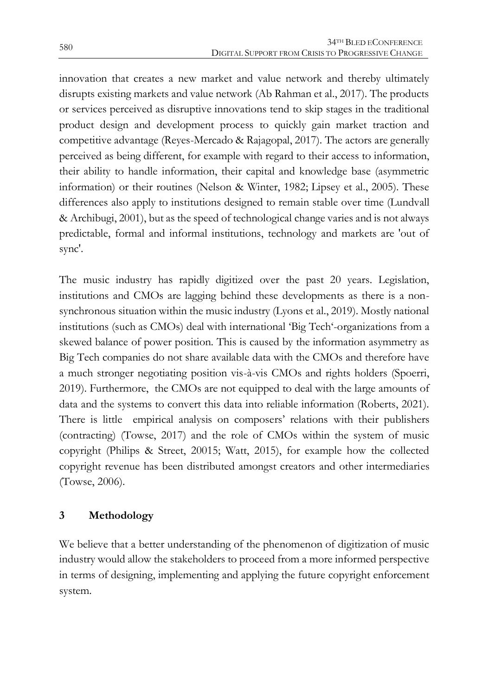innovation that creates a new market and value network and thereby ultimately disrupts existing markets and value network (Ab Rahman et al., 2017). The products or services perceived as disruptive innovations tend to skip stages in the traditional product design and development process to quickly gain market traction and competitive advantage (Reyes-Mercado & Rajagopal, 2017). The actors are generally perceived as being different, for example with regard to their access to information, their ability to handle information, their capital and knowledge base (asymmetric information) or their routines (Nelson & Winter, 1982; Lipsey et al., 2005). These differences also apply to institutions designed to remain stable over time (Lundvall & Archibugi, 2001), but as the speed of technological change varies and is not always predictable, formal and informal institutions, technology and markets are 'out of sync'.

The music industry has rapidly digitized over the past 20 years. Legislation, institutions and CMOs are lagging behind these developments as there is a nonsynchronous situation within the music industry (Lyons et al., 2019). Mostly national institutions (such as CMOs) deal with international 'Big Tech'-organizations from a skewed balance of power position. This is caused by the information asymmetry as Big Tech companies do not share available data with the CMOs and therefore have a much stronger negotiating position vis-à-vis CMOs and rights holders (Spoerri, 2019). Furthermore, the CMOs are not equipped to deal with the large amounts of data and the systems to convert this data into reliable information (Roberts, 2021). There is little empirical analysis on composers' relations with their publishers (contracting) (Towse, 2017) and the role of CMOs within the system of music copyright (Philips & Street, 20015; Watt, 2015), for example how the collected copyright revenue has been distributed amongst creators and other intermediaries (Towse, 2006).

### **3 Methodology**

We believe that a better understanding of the phenomenon of digitization of music industry would allow the stakeholders to proceed from a more informed perspective in terms of designing, implementing and applying the future copyright enforcement system.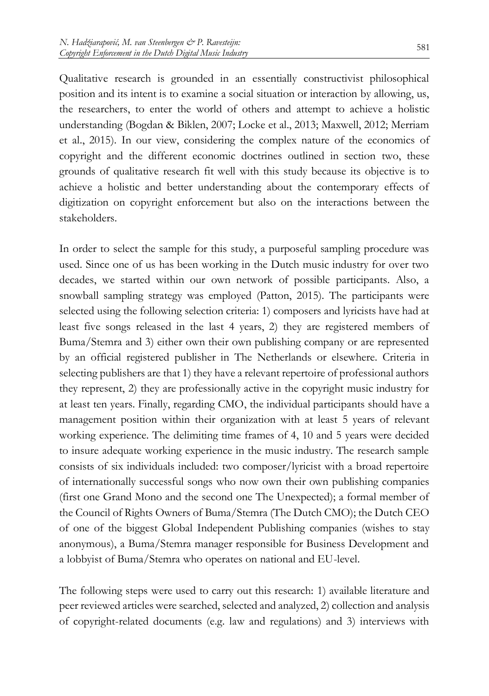Qualitative research is grounded in an essentially constructivist philosophical position and its intent is to examine a social situation or interaction by allowing, us, the researchers, to enter the world of others and attempt to achieve a holistic understanding (Bogdan & Biklen, 2007; Locke et al., 2013; Maxwell, 2012; Merriam et al., 2015). In our view, considering the complex nature of the economics of copyright and the different economic doctrines outlined in section two, these grounds of qualitative research fit well with this study because its objective is to achieve a holistic and better understanding about the contemporary effects of digitization on copyright enforcement but also on the interactions between the stakeholders.

In order to select the sample for this study, a purposeful sampling procedure was used. Since one of us has been working in the Dutch music industry for over two decades, we started within our own network of possible participants. Also, a snowball sampling strategy was employed (Patton, 2015). The participants were selected using the following selection criteria: 1) composers and lyricists have had at least five songs released in the last 4 years, 2) they are registered members of Buma/Stemra and 3) either own their own publishing company or are represented by an official registered publisher in The Netherlands or elsewhere. Criteria in selecting publishers are that 1) they have a relevant repertoire of professional authors they represent, 2) they are professionally active in the copyright music industry for at least ten years. Finally, regarding CMO, the individual participants should have a management position within their organization with at least 5 years of relevant working experience. The delimiting time frames of 4, 10 and 5 years were decided to insure adequate working experience in the music industry. The research sample consists of six individuals included: two composer/lyricist with a broad repertoire of internationally successful songs who now own their own publishing companies (first one Grand Mono and the second one The Unexpected); a formal member of the Council of Rights Owners of Buma/Stemra (The Dutch CMO); the Dutch CEO of one of the biggest Global Independent Publishing companies (wishes to stay anonymous), a Buma/Stemra manager responsible for Business Development and a lobbyist of Buma/Stemra who operates on national and EU-level.

The following steps were used to carry out this research: 1) available literature and peer reviewed articles were searched, selected and analyzed, 2) collection and analysis of copyright-related documents (e.g. law and regulations) and 3) interviews with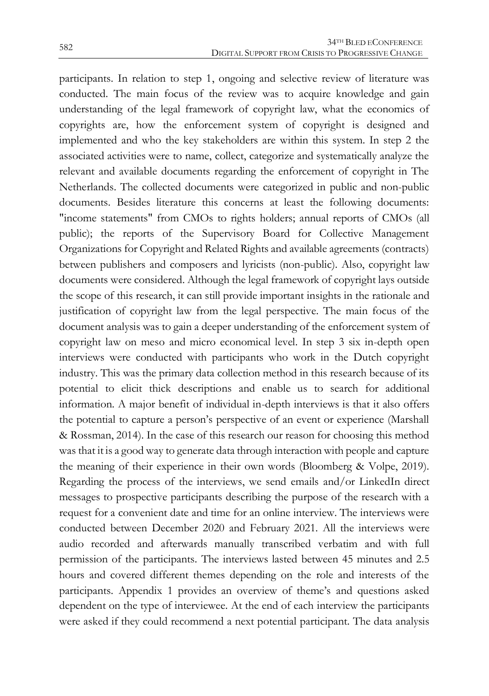participants. In relation to step 1, ongoing and selective review of literature was conducted. The main focus of the review was to acquire knowledge and gain understanding of the legal framework of copyright law, what the economics of copyrights are, how the enforcement system of copyright is designed and implemented and who the key stakeholders are within this system. In step 2 the associated activities were to name, collect, categorize and systematically analyze the relevant and available documents regarding the enforcement of copyright in The Netherlands. The collected documents were categorized in public and non-public documents. Besides literature this concerns at least the following documents: "income statements" from CMOs to rights holders; annual reports of CMOs (all public); the reports of the Supervisory Board for Collective Management Organizations for Copyright and Related Rights and available agreements (contracts) between publishers and composers and lyricists (non-public). Also, copyright law documents were considered. Although the legal framework of copyright lays outside the scope of this research, it can still provide important insights in the rationale and justification of copyright law from the legal perspective. The main focus of the document analysis was to gain a deeper understanding of the enforcement system of copyright law on meso and micro economical level. In step 3 six in-depth open interviews were conducted with participants who work in the Dutch copyright industry. This was the primary data collection method in this research because of its potential to elicit thick descriptions and enable us to search for additional information. A major benefit of individual in-depth interviews is that it also offers the potential to capture a person's perspective of an event or experience (Marshall & Rossman, 2014). In the case of this research our reason for choosing this method was that it is a good way to generate data through interaction with people and capture the meaning of their experience in their own words (Bloomberg & Volpe, 2019). Regarding the process of the interviews, we send emails and/or LinkedIn direct messages to prospective participants describing the purpose of the research with a request for a convenient date and time for an online interview. The interviews were conducted between December 2020 and February 2021. All the interviews were audio recorded and afterwards manually transcribed verbatim and with full permission of the participants. The interviews lasted between 45 minutes and 2.5 hours and covered different themes depending on the role and interests of the participants. Appendix 1 provides an overview of theme's and questions asked dependent on the type of interviewee. At the end of each interview the participants were asked if they could recommend a next potential participant. The data analysis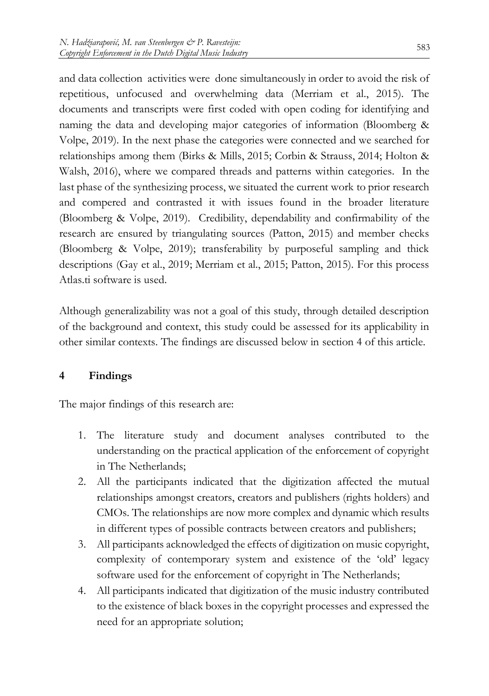and data collection activities were done simultaneously in order to avoid the risk of repetitious, unfocused and overwhelming data (Merriam et al., 2015). The documents and transcripts were first coded with open coding for identifying and naming the data and developing major categories of information (Bloomberg & Volpe, 2019). In the next phase the categories were connected and we searched for relationships among them (Birks & Mills, 2015; Corbin & Strauss, 2014; Holton & Walsh, 2016), where we compared threads and patterns within categories. In the last phase of the synthesizing process, we situated the current work to prior research and compered and contrasted it with issues found in the broader literature (Bloomberg & Volpe, 2019). Credibility, dependability and confirmability of the research are ensured by triangulating sources (Patton, 2015) and member checks (Bloomberg & Volpe, 2019); transferability by purposeful sampling and thick descriptions (Gay et al., 2019; Merriam et al., 2015; Patton, 2015). For this process Atlas.ti software is used.

Although generalizability was not a goal of this study, through detailed description of the background and context, this study could be assessed for its applicability in other similar contexts. The findings are discussed below in section 4 of this article.

#### **4 Findings**

The major findings of this research are:

- 1. The literature study and document analyses contributed to the understanding on the practical application of the enforcement of copyright in The Netherlands;
- 2. All the participants indicated that the digitization affected the mutual relationships amongst creators, creators and publishers (rights holders) and CMOs. The relationships are now more complex and dynamic which results in different types of possible contracts between creators and publishers;
- 3. All participants acknowledged the effects of digitization on music copyright, complexity of contemporary system and existence of the 'old' legacy software used for the enforcement of copyright in The Netherlands;
- 4. All participants indicated that digitization of the music industry contributed to the existence of black boxes in the copyright processes and expressed the need for an appropriate solution;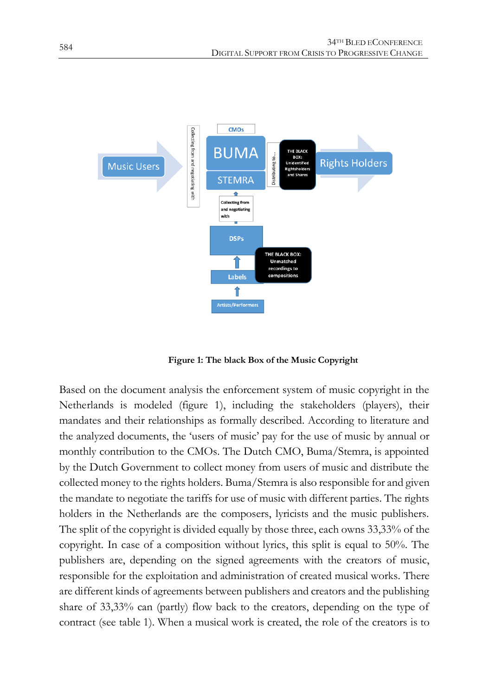

**Figure 1: The black Box of the Music Copyright**

Based on the document analysis the enforcement system of music copyright in the Netherlands is modeled (figure 1), including the stakeholders (players), their mandates and their relationships as formally described. According to literature and the analyzed documents, the 'users of music' pay for the use of music by annual or monthly contribution to the CMOs. The Dutch CMO, Buma/Stemra, is appointed by the Dutch Government to collect money from users of music and distribute the collected money to the rights holders. Buma/Stemra is also responsible for and given the mandate to negotiate the tariffs for use of music with different parties. The rights holders in the Netherlands are the composers, lyricists and the music publishers. The split of the copyright is divided equally by those three, each owns 33,33% of the copyright. In case of a composition without lyrics, this split is equal to 50%. The publishers are, depending on the signed agreements with the creators of music, responsible for the exploitation and administration of created musical works. There are different kinds of agreements between publishers and creators and the publishing share of 33,33% can (partly) flow back to the creators, depending on the type of contract (see table 1). When a musical work is created, the role of the creators is to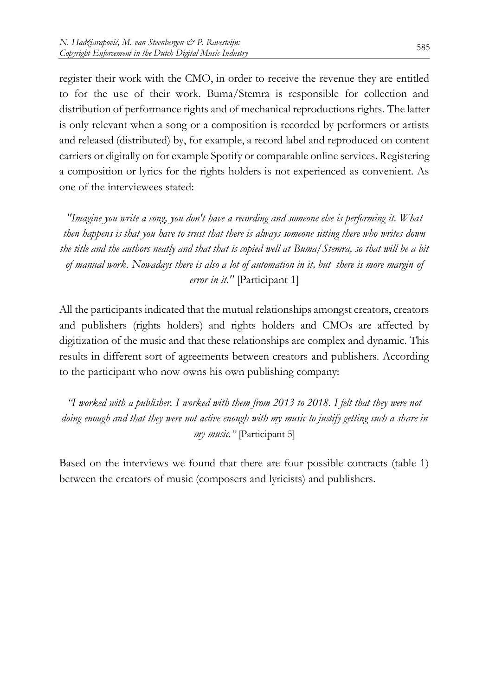register their work with the CMO, in order to receive the revenue they are entitled to for the use of their work. Buma/Stemra is responsible for collection and distribution of performance rights and of mechanical reproductions rights. The latter is only relevant when a song or a composition is recorded by performers or artists and released (distributed) by, for example, a record label and reproduced on content carriers or digitally on for example Spotify or comparable online services. Registering a composition or lyrics for the rights holders is not experienced as convenient. As one of the interviewees stated:

*"Imagine you write a song, you don't have a recording and someone else is performing it. What then happens is that you have to trust that there is always someone sitting there who writes down the title and the authors neatly and that that is copied well at Buma/Stemra, so that will be a bit of manual work. Nowadays there is also a lot of automation in it, but there is more margin of error in it."* [Participant 1]

All the participants indicated that the mutual relationships amongst creators, creators and publishers (rights holders) and rights holders and CMOs are affected by digitization of the music and that these relationships are complex and dynamic. This results in different sort of agreements between creators and publishers. According to the participant who now owns his own publishing company:

*"I worked with a publisher. I worked with them from 2013 to 2018. I felt that they were not doing enough and that they were not active enough with my music to justify getting such a share in my music."* [Participant 5]

Based on the interviews we found that there are four possible contracts (table 1) between the creators of music (composers and lyricists) and publishers.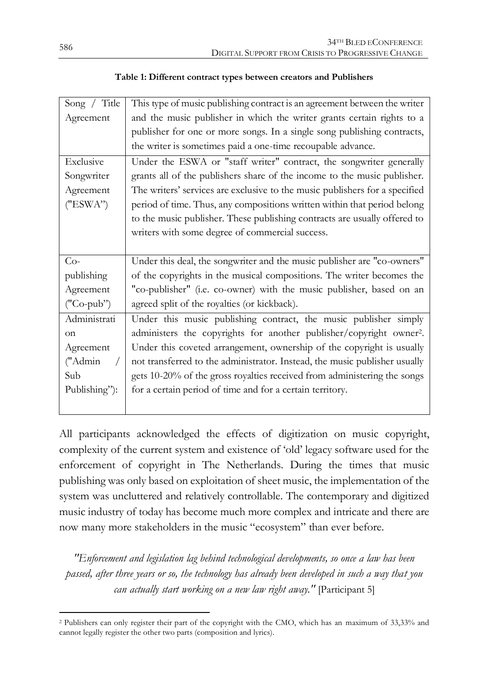| Song / Title  | This type of music publishing contract is an agreement between the writer       |  |  |
|---------------|---------------------------------------------------------------------------------|--|--|
| Agreement     | and the music publisher in which the writer grants certain rights to a          |  |  |
|               | publisher for one or more songs. In a single song publishing contracts,         |  |  |
|               | the writer is sometimes paid a one-time recoupable advance.                     |  |  |
| Exclusive     | Under the ESWA or "staff writer" contract, the songwriter generally             |  |  |
| Songwriter    | grants all of the publishers share of the income to the music publisher.        |  |  |
| Agreement     | The writers' services are exclusive to the music publishers for a specified     |  |  |
| ("ESWA")      | period of time. Thus, any compositions written within that period belong        |  |  |
|               | to the music publisher. These publishing contracts are usually offered to       |  |  |
|               | writers with some degree of commercial success.                                 |  |  |
|               |                                                                                 |  |  |
|               |                                                                                 |  |  |
| $Co-$         | Under this deal, the songwriter and the music publisher are "co-owners"         |  |  |
| publishing    | of the copyrights in the musical compositions. The writer becomes the           |  |  |
| Agreement     | "co-publisher" (i.e. co-owner) with the music publisher, based on an            |  |  |
| ("Co-pub")    | agreed split of the royalties (or kickback).                                    |  |  |
| Administrati  | Under this music publishing contract, the music publisher simply                |  |  |
| on            | administers the copyrights for another publisher/copyright owner <sup>2</sup> . |  |  |
| Agreement     | Under this coveted arrangement, ownership of the copyright is usually           |  |  |
| ("Admin"      | not transferred to the administrator. Instead, the music publisher usually      |  |  |
| Sub           | gets 10-20% of the gross royalties received from administering the songs        |  |  |
| Publishing"): | for a certain period of time and for a certain territory.                       |  |  |

All participants acknowledged the effects of digitization on music copyright, complexity of the current system and existence of 'old' legacy software used for the enforcement of copyright in The Netherlands. During the times that music publishing was only based on exploitation of sheet music, the implementation of the system was uncluttered and relatively controllable. The contemporary and digitized music industry of today has become much more complex and intricate and there are now many more stakeholders in the music "ecosystem" than ever before.

*"Enforcement and legislation lag behind technological developments, so once a law has been passed, after three years or so, the technology has already been developed in such a way that you can actually start working on a new law right away."* [Participant 5]

 $\overline{a}$ 

<sup>2</sup> Publishers can only register their part of the copyright with the CMO, which has an maximum of 33,33% and cannot legally register the other two parts (composition and lyrics).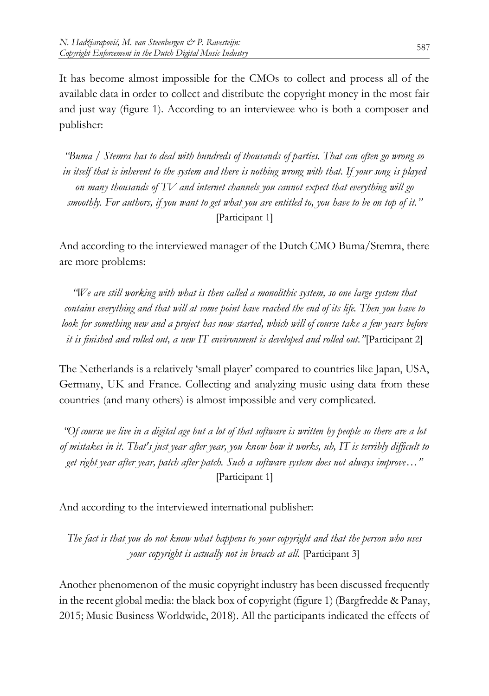It has become almost impossible for the CMOs to collect and process all of the available data in order to collect and distribute the copyright money in the most fair and just way (figure 1). According to an interviewee who is both a composer and publisher:

*"Buma / Stemra has to deal with hundreds of thousands of parties. That can often go wrong so in itself that is inherent to the system and there is nothing wrong with that. If your song is played on many thousands of TV and internet channels you cannot expect that everything will go smoothly. For authors, if you want to get what you are entitled to, you have to be on top of it."* [Participant 1]

And according to the interviewed manager of the Dutch CMO Buma/Stemra, there are more problems:

*"We are still working with what is then called a monolithic system, so one large system that contains everything and that will at some point have reached the end of its life. Then you have to look for something new and a project has now started, which will of course take a few years before it is finished and rolled out, a new IT environment is developed and rolled out."*[Participant 2]

The Netherlands is a relatively 'small player' compared to countries like Japan, USA, Germany, UK and France. Collecting and analyzing music using data from these countries (and many others) is almost impossible and very complicated.

*"Of course we live in a digital age but a lot of that software is written by people so there are a lot of mistakes in it. That's just year after year, you know how it works, uh, IT is terribly difficult to get right year after year, patch after patch. Such a software system does not always improve…"* [Participant 1]

And according to the interviewed international publisher:

*The fact is that you do not know what happens to your copyright and that the person who uses your copyright is actually not in breach at all.* [Participant 3]

Another phenomenon of the music copyright industry has been discussed frequently in the recent global media: the black box of copyright (figure 1) (Bargfredde & Panay, 2015; Music Business Worldwide, 2018). All the participants indicated the effects of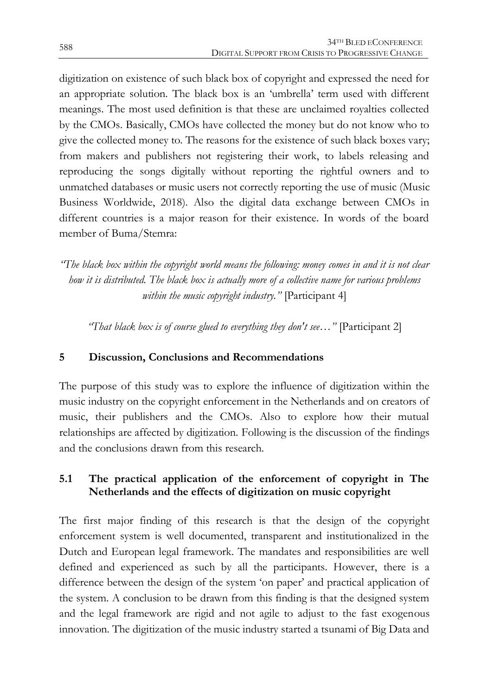digitization on existence of such black box of copyright and expressed the need for an appropriate solution. The black box is an 'umbrella' term used with different meanings. The most used definition is that these are unclaimed royalties collected by the CMOs. Basically, CMOs have collected the money but do not know who to give the collected money to. The reasons for the existence of such black boxes vary; from makers and publishers not registering their work, to labels releasing and reproducing the songs digitally without reporting the rightful owners and to unmatched databases or music users not correctly reporting the use of music (Music Business Worldwide, 2018). Also the digital data exchange between CMOs in different countries is a major reason for their existence. In words of the board member of Buma/Stemra:

*"The black box within the copyright world means the following: money comes in and it is not clear how it is distributed. The black box is actually more of a collective name for various problems within the music copyright industry."* [Participant 4]

*"That black box is of course glued to everything they don't see…"* [Participant 2]

#### **5 Discussion, Conclusions and Recommendations**

The purpose of this study was to explore the influence of digitization within the music industry on the copyright enforcement in the Netherlands and on creators of music, their publishers and the CMOs. Also to explore how their mutual relationships are affected by digitization. Following is the discussion of the findings and the conclusions drawn from this research.

#### **5.1 The practical application of the enforcement of copyright in The Netherlands and the effects of digitization on music copyright**

The first major finding of this research is that the design of the copyright enforcement system is well documented, transparent and institutionalized in the Dutch and European legal framework. The mandates and responsibilities are well defined and experienced as such by all the participants. However, there is a difference between the design of the system 'on paper' and practical application of the system. A conclusion to be drawn from this finding is that the designed system and the legal framework are rigid and not agile to adjust to the fast exogenous innovation. The digitization of the music industry started a tsunami of Big Data and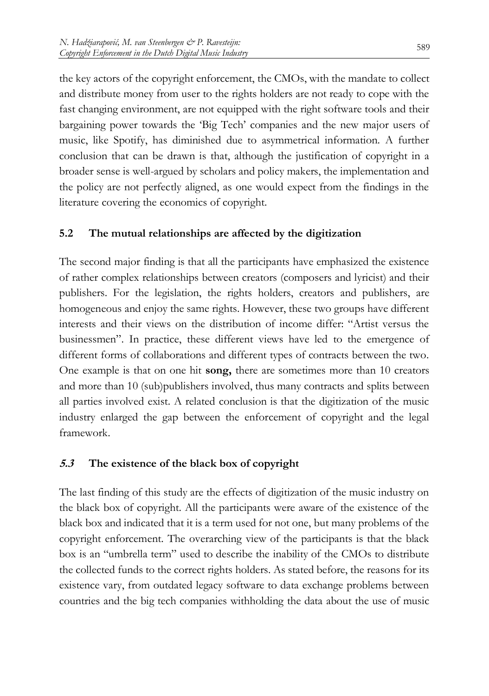the key actors of the copyright enforcement, the CMOs, with the mandate to collect and distribute money from user to the rights holders are not ready to cope with the fast changing environment, are not equipped with the right software tools and their bargaining power towards the 'Big Tech' companies and the new major users of music, like Spotify, has diminished due to asymmetrical information. A further conclusion that can be drawn is that, although the justification of copyright in a broader sense is well-argued by scholars and policy makers, the implementation and the policy are not perfectly aligned, as one would expect from the findings in the literature covering the economics of copyright.

#### **5.2 The mutual relationships are affected by the digitization**

The second major finding is that all the participants have emphasized the existence of rather complex relationships between creators (composers and lyricist) and their publishers. For the legislation, the rights holders, creators and publishers, are homogeneous and enjoy the same rights. However, these two groups have different interests and their views on the distribution of income differ: "Artist versus the businessmen". In practice, these different views have led to the emergence of different forms of collaborations and different types of contracts between the two. One example is that on one hit **song,** there are sometimes more than 10 creators and more than 10 (sub)publishers involved, thus many contracts and splits between all parties involved exist. A related conclusion is that the digitization of the music industry enlarged the gap between the enforcement of copyright and the legal framework.

### **5.3 The existence of the black box of copyright**

The last finding of this study are the effects of digitization of the music industry on the black box of copyright. All the participants were aware of the existence of the black box and indicated that it is a term used for not one, but many problems of the copyright enforcement. The overarching view of the participants is that the black box is an "umbrella term" used to describe the inability of the CMOs to distribute the collected funds to the correct rights holders. As stated before, the reasons for its existence vary, from outdated legacy software to data exchange problems between countries and the big tech companies withholding the data about the use of music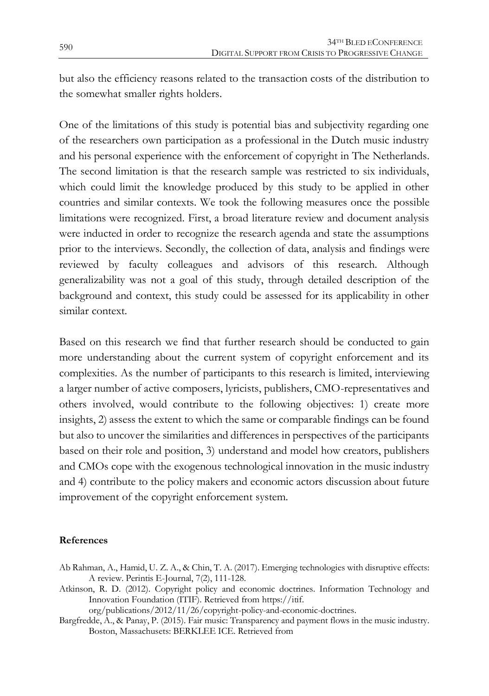but also the efficiency reasons related to the transaction costs of the distribution to the somewhat smaller rights holders.

One of the limitations of this study is potential bias and subjectivity regarding one of the researchers own participation as a professional in the Dutch music industry and his personal experience with the enforcement of copyright in The Netherlands. The second limitation is that the research sample was restricted to six individuals, which could limit the knowledge produced by this study to be applied in other countries and similar contexts. We took the following measures once the possible limitations were recognized. First, a broad literature review and document analysis were inducted in order to recognize the research agenda and state the assumptions prior to the interviews. Secondly, the collection of data, analysis and findings were reviewed by faculty colleagues and advisors of this research. Although generalizability was not a goal of this study, through detailed description of the background and context, this study could be assessed for its applicability in other similar context.

Based on this research we find that further research should be conducted to gain more understanding about the current system of copyright enforcement and its complexities. As the number of participants to this research is limited, interviewing a larger number of active composers, lyricists, publishers, CMO-representatives and others involved, would contribute to the following objectives: 1) create more insights, 2) assess the extent to which the same or comparable findings can be found but also to uncover the similarities and differences in perspectives of the participants based on their role and position, 3) understand and model how creators, publishers and CMOs cope with the exogenous technological innovation in the music industry and 4) contribute to the policy makers and economic actors discussion about future improvement of the copyright enforcement system.

#### **References**

- Ab Rahman, A., Hamid, U. Z. A., & Chin, T. A. (2017). Emerging technologies with disruptive effects: A review. Perintis E-Journal, 7(2), 111-128.
- Atkinson, R. D. (2012). Copyright policy and economic doctrines. Information Technology and Innovation Foundation (ITIF). Retrieved from https://itif.

org/publications/2012/11/26/copyright-policy-and-economic-doctrines.

Bargfredde, A., & Panay, P. (2015). Fair music: Transparency and payment flows in the music industry. Boston, Massachusets: BERKLEE ICE. Retrieved from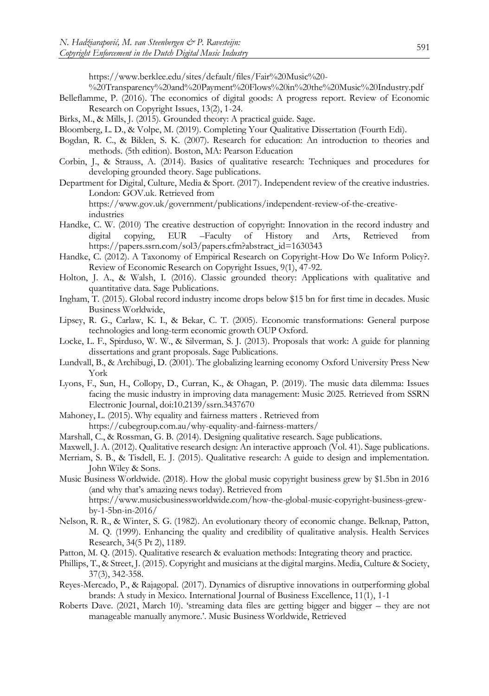https://www.berklee.edu/sites/default/files/Fair%20Music%20-

%20Transparency%20and%20Payment%20Flows%20in%20the%20Music%20Industry.pdf

- Belleflamme, P. (2016). The economics of digital goods: A progress report. Review of Economic Research on Copyright Issues, 13(2), 1-24.
- Birks, M., & Mills, J. (2015). Grounded theory: A practical guide. Sage.
- Bloomberg, L. D., & Volpe, M. (2019). Completing Your Qualitative Dissertation (Fourth Edi).
- Bogdan, R. C., & Biklen, S. K. (2007). Research for education: An introduction to theories and methods. (5th edition). Boston, MA: Pearson Education
- Corbin, J., & Strauss, A. (2014). Basics of qualitative research: Techniques and procedures for developing grounded theory. Sage publications.
- Department for Digital, Culture, Media & Sport. (2017). Independent review of the creative industries. London: GOV.uk. Retrieved from https://www.gov.uk/government/publications/independent-review-of-the-creativeindustries
- Handke, C. W. (2010) The creative destruction of copyright: Innovation in the record industry and digital copying, EUR -Faculty of History and Arts, Retrieved from digital copying, EUR –Faculty of History and Arts, Retrieved from https://papers.ssrn.com/sol3/papers.cfm?abstract\_id=1630343
- Handke, C. (2012). A Taxonomy of Empirical Research on Copyright-How Do We Inform Policy?. Review of Economic Research on Copyright Issues, 9(1), 47-92.
- Holton, J. A., & Walsh, I. (2016). Classic grounded theory: Applications with qualitative and quantitative data. Sage Publications.
- Ingham, T. (2015). Global record industry income drops below \$15 bn for first time in decades. Music Business Worldwide,
- Lipsey, R. G., Carlaw, K. I., & Bekar, C. T. (2005). Economic transformations: General purpose technologies and long-term economic growth OUP Oxford.
- Locke, L. F., Spirduso, W. W., & Silverman, S. J. (2013). Proposals that work: A guide for planning dissertations and grant proposals. Sage Publications.
- Lundvall, B., & Archibugi, D. (2001). The globalizing learning economy Oxford University Press New York
- Lyons, F., Sun, H., Collopy, D., Curran, K., & Ohagan, P. (2019). The music data dilemma: Issues facing the music industry in improving data management: Music 2025. Retrieved from SSRN Electronic Journal, doi:10.2139/ssrn.3437670
- Mahoney, L. (2015). Why equality and fairness matters . Retrieved from https://cubegroup.com.au/why-equality-and-fairness-matters/
- Marshall, C., & Rossman, G. B. (2014). Designing qualitative research. Sage publications.
- Maxwell, J. A. (2012). Qualitative research design: An interactive approach (Vol. 41). Sage publications.
- Merriam, S. B., & Tisdell, E. J. (2015). Qualitative research: A guide to design and implementation. John Wiley & Sons.
- Music Business Worldwide. (2018). How the global music copyright business grew by \$1.5bn in 2016 (and why that's amazing news today). Retrieved from

https://www.musicbusinessworldwide.com/how-the-global-music-copyright-business-grewby-1-5bn-in-2016/

- Nelson, R. R., & Winter, S. G. (1982). An evolutionary theory of economic change. Belknap, Patton, M. Q. (1999). Enhancing the quality and credibility of qualitative analysis. Health Services Research, 34(5 Pt 2), 1189.
- Patton, M. Q. (2015). Qualitative research & evaluation methods: Integrating theory and practice.
- Phillips, T., & Street, J. (2015). Copyright and musicians at the digital margins. Media, Culture & Society, 37(3), 342-358.
- Reyes-Mercado, P., & Rajagopal. (2017). Dynamics of disruptive innovations in outperforming global brands: A study in Mexico. International Journal of Business Excellence, 11(1), 1-1
- Roberts Dave. (2021, March 10). 'streaming data files are getting bigger and bigger they are not manageable manually anymore.'. Music Business Worldwide, Retrieved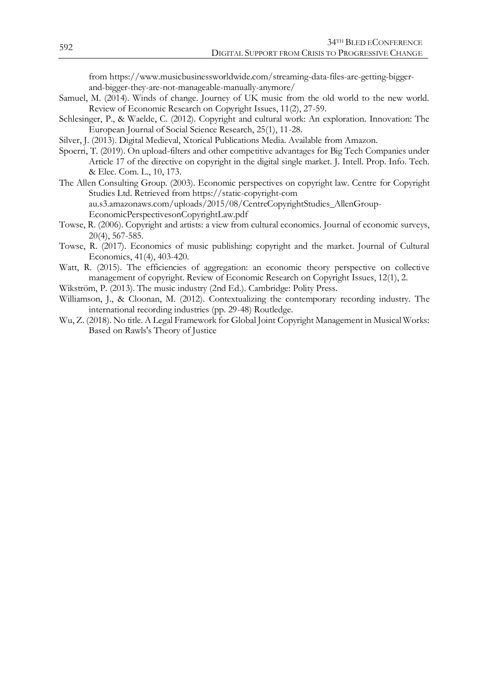from [https://www.musicbusinessworldwide.com/streaming-data-files-are-getting-bigger](https://www.musicbusinessworldwide.com/streaming-data-files-are-getting-bigger-and-bigger-they-are-not-manageable-manually-anymore/)[and-bigger-they-are-not-manageable-manually-anymore/](https://www.musicbusinessworldwide.com/streaming-data-files-are-getting-bigger-and-bigger-they-are-not-manageable-manually-anymore/)

- Samuel, M. (2014). Winds of change. Journey of UK music from the old world to the new world. Review of Economic Research on Copyright Issues, 11(2), 27-59.
- Schlesinger, P., & Waelde, C. (2012). Copyright and cultural work: An exploration. Innovation: The European Journal of Social Science Research, 25(1), 11-28.
- Silver, J. (2013). Digital Medieval, Xtorical Publications Media. Available from Amazon.
- Spoerri, T. (2019). On upload-filters and other competitive advantages for Big Tech Companies under Article 17 of the directive on copyright in the digital single market. J. Intell. Prop. Info. Tech. & Elec. Com. L., 10, 173.
- The Allen Consulting Group. (2003). Economic perspectives on copyright law. Centre for Copyright Studies Ltd. Retrieved from https://static-copyright-com au.s3.amazonaws.com/uploads/2015/08/CentreCopyrightStudies\_AllenGroup-EconomicPerspectivesonCopyrightLaw.pdf
- Towse, R. (2006). Copyright and artists: a view from cultural economics. Journal of economic surveys, 20(4), 567-585.
- Towse, R. (2017). Economics of music publishing: copyright and the market. Journal of Cultural Economics, 41(4), 403-420.
- Watt, R. (2015). The efficiencies of aggregation: an economic theory perspective on collective management of copyright. Review of Economic Research on Copyright Issues, 12(1), 2.
- Wikström, P. (2013). The music industry (2nd Ed.). Cambridge: Polity Press.
- Williamson, J., & Cloonan, M. (2012). Contextualizing the contemporary recording industry. The international recording industries (pp. 29-48) Routledge.
- Wu, Z. (2018). No title. A Legal Framework for Global Joint Copyright Management in Musical Works: Based on Rawls's Theory of Justice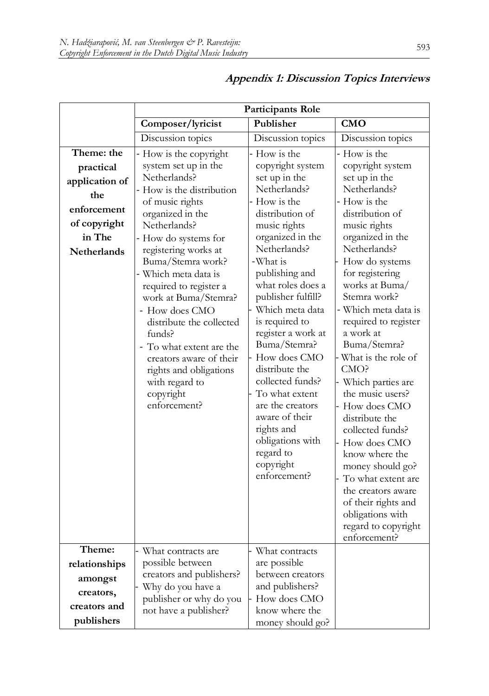|                                                                                                                 | Participants Role                                                                                                                                                                                                                                                                                                                                                                                                                                                                   |                                                                                                                                                                                                                                                                                                                                                                                                                                                                                                        |                                                                                                                                                                                                                                                                                                                                                                                                                                                                                                                                                                                                                                |
|-----------------------------------------------------------------------------------------------------------------|-------------------------------------------------------------------------------------------------------------------------------------------------------------------------------------------------------------------------------------------------------------------------------------------------------------------------------------------------------------------------------------------------------------------------------------------------------------------------------------|--------------------------------------------------------------------------------------------------------------------------------------------------------------------------------------------------------------------------------------------------------------------------------------------------------------------------------------------------------------------------------------------------------------------------------------------------------------------------------------------------------|--------------------------------------------------------------------------------------------------------------------------------------------------------------------------------------------------------------------------------------------------------------------------------------------------------------------------------------------------------------------------------------------------------------------------------------------------------------------------------------------------------------------------------------------------------------------------------------------------------------------------------|
|                                                                                                                 | Composer/lyricist                                                                                                                                                                                                                                                                                                                                                                                                                                                                   | Publisher                                                                                                                                                                                                                                                                                                                                                                                                                                                                                              | <b>CMO</b>                                                                                                                                                                                                                                                                                                                                                                                                                                                                                                                                                                                                                     |
|                                                                                                                 | Discussion topics                                                                                                                                                                                                                                                                                                                                                                                                                                                                   | Discussion topics                                                                                                                                                                                                                                                                                                                                                                                                                                                                                      | Discussion topics                                                                                                                                                                                                                                                                                                                                                                                                                                                                                                                                                                                                              |
| Theme: the<br>practical<br>application of<br>the<br>enforcement<br>of copyright<br>in The<br><b>Netherlands</b> | How is the copyright<br>system set up in the<br>Netherlands?<br>How is the distribution<br>of music rights<br>organized in the<br>Netherlands?<br>How do systems for<br>registering works at<br>Buma/Stemra work?<br>- Which meta data is<br>required to register a<br>work at Buma/Stemra?<br>- How does CMO<br>distribute the collected<br>funds?<br>- To what extent are the<br>creators aware of their<br>rights and obligations<br>with regard to<br>copyright<br>enforcement? | - How is the<br>copyright system<br>set up in the<br>Netherlands?<br>- How is the<br>distribution of<br>music rights<br>organized in the<br>Netherlands?<br>-What is<br>publishing and<br>what roles does a<br>publisher fulfill?<br>Which meta data<br>is required to<br>register a work at<br>Buma/Stemra?<br>How does CMO<br>distribute the<br>collected funds?<br>To what extent<br>are the creators<br>aware of their<br>rights and<br>obligations with<br>regard to<br>copyright<br>enforcement? | - How is the<br>copyright system<br>set up in the<br>Netherlands?<br>- How is the<br>distribution of<br>music rights<br>organized in the<br>Netherlands?<br>How do systems<br>for registering<br>works at Buma/<br>Stemra work?<br>- Which meta data is<br>required to register<br>a work at<br>Buma/Stemra?<br>What is the role of<br>CMO?<br>Which parties are<br>the music users?<br>How does CMO<br>distribute the<br>collected funds?<br>How does CMO<br>know where the<br>money should go?<br>To what extent are<br>the creators aware<br>of their rights and<br>obligations with<br>regard to copyright<br>enforcement? |
| Theme:<br>relationships<br>amongst<br>creators,<br>creators and<br>publishers                                   | What contracts are<br>possible between<br>creators and publishers?<br>Why do you have a<br>publisher or why do you<br>not have a publisher?                                                                                                                                                                                                                                                                                                                                         | What contracts<br>are possible<br>between creators<br>and publishers?<br>How does CMO<br>know where the<br>money should go?                                                                                                                                                                                                                                                                                                                                                                            |                                                                                                                                                                                                                                                                                                                                                                                                                                                                                                                                                                                                                                |

## **Appendix 1: Discussion Topics Interviews**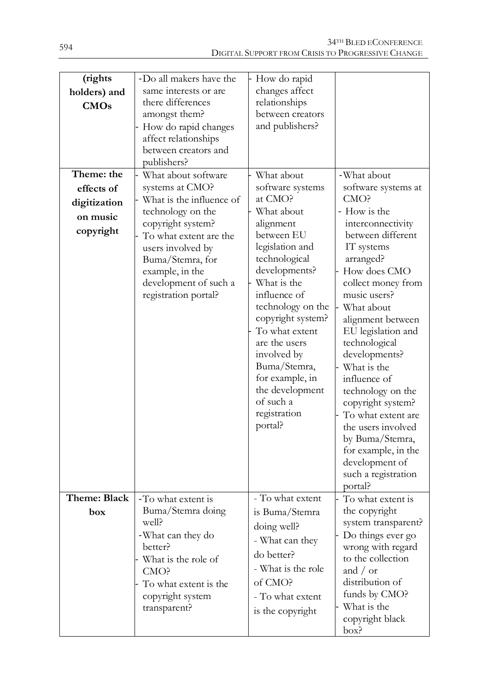| (rights<br>holders) and                             | -Do all makers have the<br>same interests or are<br>there differences                                                                                                                                                        | How do rapid<br>changes affect<br>relationships                                                                                                                                                                                                                                                                                                    |                                                                                                                                                                                                                                                                                                                                                                                                                                                                           |
|-----------------------------------------------------|------------------------------------------------------------------------------------------------------------------------------------------------------------------------------------------------------------------------------|----------------------------------------------------------------------------------------------------------------------------------------------------------------------------------------------------------------------------------------------------------------------------------------------------------------------------------------------------|---------------------------------------------------------------------------------------------------------------------------------------------------------------------------------------------------------------------------------------------------------------------------------------------------------------------------------------------------------------------------------------------------------------------------------------------------------------------------|
| CMOs<br>Theme: the                                  | amongst them?<br>How do rapid changes<br>affect relationships<br>between creators and<br>publishers?<br>What about software                                                                                                  | between creators<br>and publishers?<br>What about                                                                                                                                                                                                                                                                                                  | -What about                                                                                                                                                                                                                                                                                                                                                                                                                                                               |
| effects of<br>digitization<br>on music<br>copyright | systems at CMO?<br>What is the influence of<br>technology on the<br>copyright system?<br>To what extent are the<br>users involved by<br>Buma/Stemra, for<br>example, in the<br>development of such a<br>registration portal? | software systems<br>at CMO?<br>What about<br>alignment<br>between EU<br>legislation and<br>technological<br>developments?<br>What is the<br>influence of<br>technology on the<br>copyright system?<br>To what extent<br>are the users<br>involved by<br>Buma/Stemra,<br>for example, in<br>the development<br>of such a<br>registration<br>portal? | software systems at<br>CMO?<br>- How is the<br>interconnectivity<br>between different<br>IT systems<br>arranged?<br>How does CMO<br>collect money from<br>music users?<br>What about<br>alignment between<br>EU legislation and<br>technological<br>developments?<br>What is the<br>influence of<br>technology on the<br>copyright system?<br>To what extent are<br>the users involved<br>by Buma/Stemra,<br>for example, in the<br>development of<br>such a registration |
| Theme: Black<br>box                                 | -To what extent is<br>Buma/Stemra doing<br>well?<br>-What can they do<br>better?<br>What is the role of<br>CMO?<br>To what extent is the<br>copyright system<br>transparent?                                                 | - To what extent<br>is Buma/Stemra<br>doing well?<br>- What can they<br>do better?<br>- What is the role<br>of CMO?<br>- To what extent<br>is the copyright                                                                                                                                                                                        | portal?<br>To what extent is<br>the copyright<br>system transparent?<br>Do things ever go<br>wrong with regard<br>to the collection<br>and $\prime$ or<br>distribution of<br>funds by CMO?<br>What is the<br>copyright black<br>box?                                                                                                                                                                                                                                      |